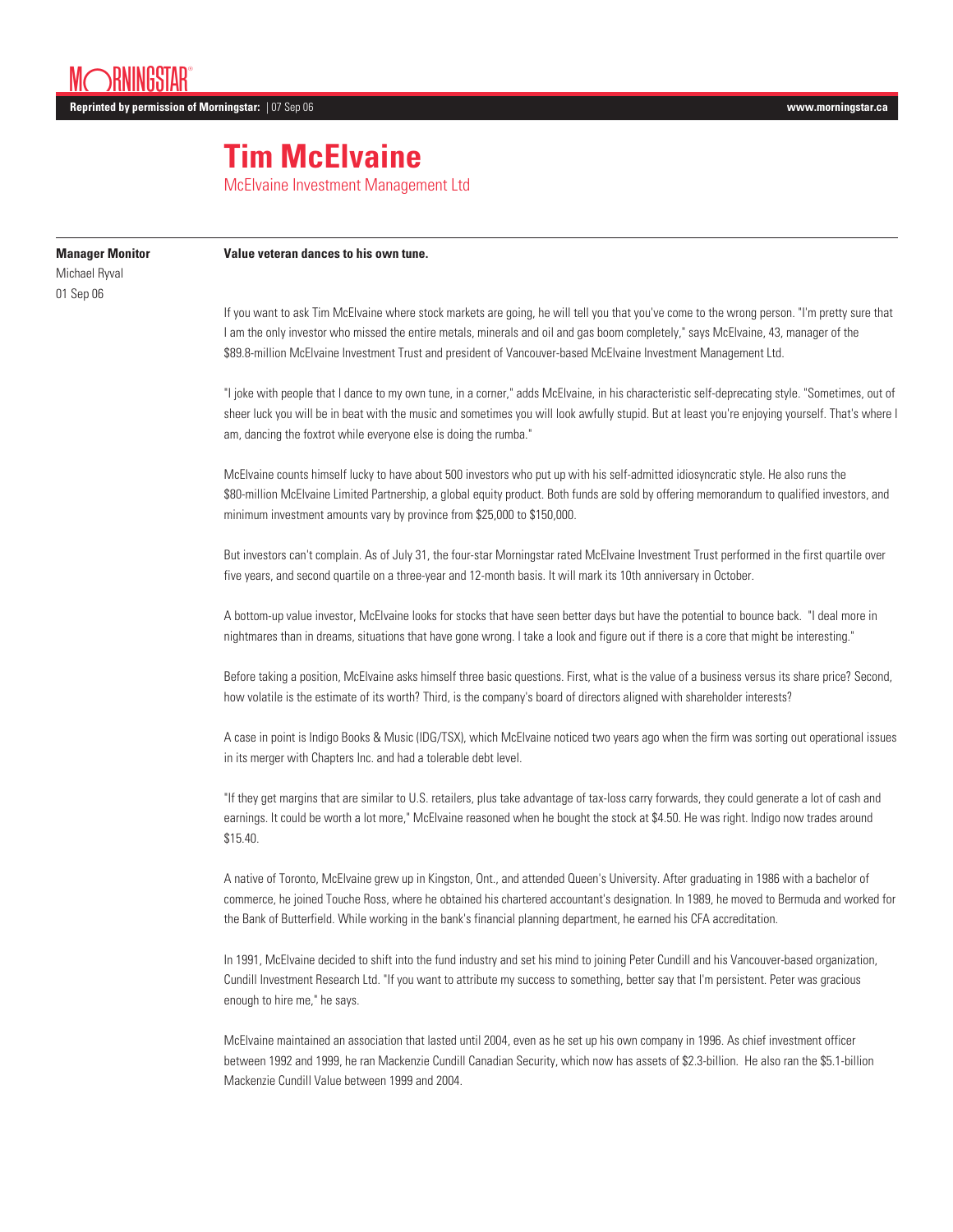## **Tim McElvaine**

McElvaine Investment Management Ltd

| <b>Manager Monitor</b><br>Michael Ryval<br>01 Sep 06 | Value veteran dances to his own tune.                                                                                                                                                                                                                                                                                                                                                                    |
|------------------------------------------------------|----------------------------------------------------------------------------------------------------------------------------------------------------------------------------------------------------------------------------------------------------------------------------------------------------------------------------------------------------------------------------------------------------------|
|                                                      | If you want to ask Tim McElvaine where stock markets are going, he will tell you that you've come to the wrong person. "I'm pretty sure that<br>I am the only investor who missed the entire metals, minerals and oil and gas boom completely," says McElvaine, 43, manager of the<br>\$89.8-million McElvaine Investment Trust and president of Vancouver-based McElvaine Investment Management Ltd.    |
|                                                      | "I joke with people that I dance to my own tune, in a corner," adds McElvaine, in his characteristic self-deprecating style. "Sometimes, out of<br>sheer luck you will be in beat with the music and sometimes you will look awfully stupid. But at least you're enjoying yourself. That's where I<br>am, dancing the foxtrot while everyone else is doing the rumba."                                   |
|                                                      | McElvaine counts himself lucky to have about 500 investors who put up with his self-admitted idiosyncratic style. He also runs the<br>\$80-million McElvaine Limited Partnership, a global equity product. Both funds are sold by offering memorandum to qualified investors, and<br>minimum investment amounts vary by province from \$25,000 to \$150,000.                                             |
|                                                      | But investors can't complain. As of July 31, the four-star Morningstar rated McElvaine Investment Trust performed in the first quartile over<br>five years, and second quartile on a three-year and 12-month basis. It will mark its 10th anniversary in October.                                                                                                                                        |
|                                                      | A bottom-up value investor, McElvaine looks for stocks that have seen better days but have the potential to bounce back. "I deal more in<br>nightmares than in dreams, situations that have gone wrong. I take a look and figure out if there is a core that might be interesting."                                                                                                                      |
|                                                      | Before taking a position, McElvaine asks himself three basic questions. First, what is the value of a business versus its share price? Second,<br>how volatile is the estimate of its worth? Third, is the company's board of directors aligned with shareholder interests?                                                                                                                              |
|                                                      | A case in point is Indigo Books & Music (IDG/TSX), which McElvaine noticed two years ago when the firm was sorting out operational issues<br>in its merger with Chapters Inc. and had a tolerable debt level.                                                                                                                                                                                            |
|                                                      | "If they get margins that are similar to U.S. retailers, plus take advantage of tax-loss carry forwards, they could generate a lot of cash and<br>earnings. It could be worth a lot more," McElvaine reasoned when he bought the stock at \$4.50. He was right. Indigo now trades around<br>\$15.40.                                                                                                     |
|                                                      | A native of Toronto, McElvaine grew up in Kingston, Ont., and attended Queen's University. After graduating in 1986 with a bachelor of<br>commerce, he joined Touche Ross, where he obtained his chartered accountant's designation. In 1989, he moved to Bermuda and worked for<br>the Bank of Butterfield. While working in the bank's financial planning department, he earned his CFA accreditation. |
|                                                      | In 1991, McElvaine decided to shift into the fund industry and set his mind to joining Peter Cundill and his Vancouver-based organization,<br>Cundill Investment Research Ltd. "If you want to attribute my success to something, better say that I'm persistent. Peter was gracious<br>enough to hire me," he says.                                                                                     |
|                                                      | $1 - 4000 - 1 - 11 - 11$                                                                                                                                                                                                                                                                                                                                                                                 |

McElvaine maintained an association that lasted until 2004, even as he set up his own company in 1996. As chief investment officer between 1992 and 1999, he ran Mackenzie Cundill Canadian Security, which now has assets of \$2.3-billion. He also ran the \$5.1-billion Mackenzie Cundill Value between 1999 and 2004.